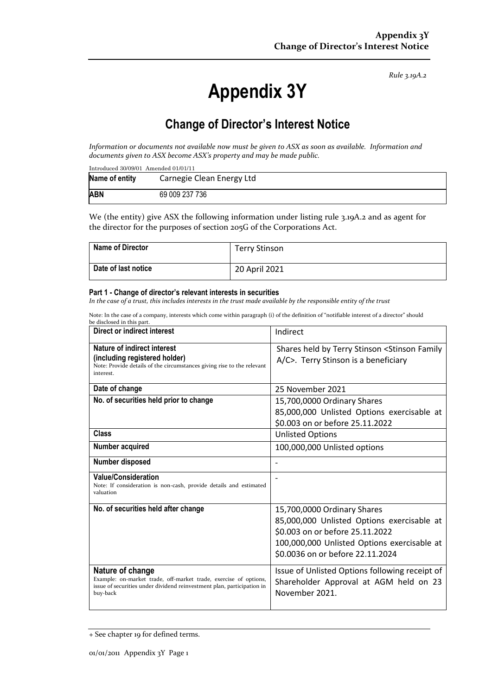*Rule 3.19A.2*

# **Appendix 3Y**

# **Change of Director's Interest Notice**

*Information or documents not available now must be given to ASX as soon as available. Information and documents given to ASX become ASX's property and may be made public.*

| Introduced $30/09/01$ Amended $01/01/11$ |                           |  |  |  |
|------------------------------------------|---------------------------|--|--|--|
| Name of entity                           | Carnegie Clean Energy Ltd |  |  |  |
| <b>ABN</b>                               | 69 009 237 736            |  |  |  |

We (the entity) give ASX the following information under listing rule 3.19A.2 and as agent for the director for the purposes of section 205G of the Corporations Act.

| <b>Name of Director</b> | <b>Terry Stinson</b> |
|-------------------------|----------------------|
| Date of last notice     | 20 April 2021        |

#### **Part 1 - Change of director's relevant interests in securities**

*In the case of a trust, this includes interests in the trust made available by the responsible entity of the trust*

Note: In the case of a company, interests which come within paragraph (i) of the definition of "notifiable interest of a director" should be disclosed in this part.

| Direct or indirect interest                                                                                                                                                | Indirect                                                                                                                                                                                        |  |
|----------------------------------------------------------------------------------------------------------------------------------------------------------------------------|-------------------------------------------------------------------------------------------------------------------------------------------------------------------------------------------------|--|
| Nature of indirect interest<br>(including registered holder)<br>Note: Provide details of the circumstances giving rise to the relevant<br>interest.                        | Shares held by Terry Stinson < Stinson Family<br>A/C>. Terry Stinson is a beneficiary                                                                                                           |  |
| Date of change                                                                                                                                                             | 25 November 2021                                                                                                                                                                                |  |
| No. of securities held prior to change                                                                                                                                     | 15,700,0000 Ordinary Shares<br>85,000,000 Unlisted Options exercisable at<br>\$0.003 on or before 25.11.2022                                                                                    |  |
| Class                                                                                                                                                                      | <b>Unlisted Options</b>                                                                                                                                                                         |  |
| Number acquired                                                                                                                                                            | 100,000,000 Unlisted options                                                                                                                                                                    |  |
| Number disposed                                                                                                                                                            |                                                                                                                                                                                                 |  |
| <b>Value/Consideration</b><br>Note: If consideration is non-cash, provide details and estimated<br>valuation                                                               |                                                                                                                                                                                                 |  |
| No. of securities held after change                                                                                                                                        | 15,700,0000 Ordinary Shares<br>85,000,000 Unlisted Options exercisable at<br>\$0.003 on or before 25.11.2022<br>100,000,000 Unlisted Options exercisable at<br>\$0.0036 on or before 22.11.2024 |  |
| Nature of change<br>Example: on-market trade, off-market trade, exercise of options,<br>issue of securities under dividend reinvestment plan, participation in<br>buy-back | Issue of Unlisted Options following receipt of<br>Shareholder Approval at AGM held on 23<br>November 2021.                                                                                      |  |

<sup>+</sup> See chapter 19 for defined terms.